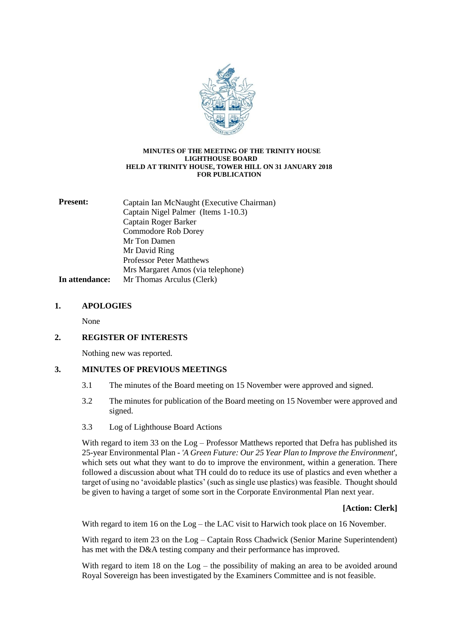

#### **MINUTES OF THE MEETING OF THE TRINITY HOUSE LIGHTHOUSE BOARD HELD AT TRINITY HOUSE, TOWER HILL ON 31 JANUARY 2018 FOR PUBLICATION**

| <b>Present:</b> | Captain Ian McNaught (Executive Chairman) |
|-----------------|-------------------------------------------|
|                 | Captain Nigel Palmer (Items 1-10.3)       |
|                 | Captain Roger Barker                      |
|                 | Commodore Rob Dorey                       |
|                 | Mr Ton Damen                              |
|                 | Mr David Ring                             |
|                 | <b>Professor Peter Matthews</b>           |
|                 | Mrs Margaret Amos (via telephone)         |
| In attendance:  | Mr Thomas Arculus (Clerk)                 |

## **1. APOLOGIES**

None

# **2. REGISTER OF INTERESTS**

Nothing new was reported.

### **3. MINUTES OF PREVIOUS MEETINGS**

- 3.1 The minutes of the Board meeting on 15 November were approved and signed.
- 3.2 The minutes for publication of the Board meeting on 15 November were approved and signed.
- 3.3 Log of Lighthouse Board Actions

With regard to item 33 on the Log – Professor Matthews reported that Defra has published its 25-year Environmental Plan - *'A Green Future: Our 25 Year Plan to Improve the Environment*', which sets out what they want to do to improve the environment, within a generation. There followed a discussion about what TH could do to reduce its use of plastics and even whether a target of using no 'avoidable plastics' (such as single use plastics) was feasible. Thought should be given to having a target of some sort in the Corporate Environmental Plan next year.

**[Action: Clerk]**

With regard to item 16 on the Log – the LAC visit to Harwich took place on 16 November.

With regard to item 23 on the Log – Captain Ross Chadwick (Senior Marine Superintendent) has met with the D&A testing company and their performance has improved.

With regard to item 18 on the  $Log$  – the possibility of making an area to be avoided around Royal Sovereign has been investigated by the Examiners Committee and is not feasible.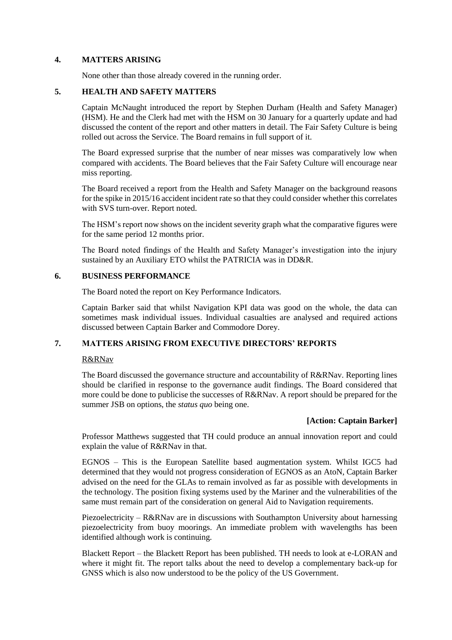### **4. MATTERS ARISING**

None other than those already covered in the running order.

## **5. HEALTH AND SAFETY MATTERS**

Captain McNaught introduced the report by Stephen Durham (Health and Safety Manager) (HSM). He and the Clerk had met with the HSM on 30 January for a quarterly update and had discussed the content of the report and other matters in detail. The Fair Safety Culture is being rolled out across the Service. The Board remains in full support of it.

The Board expressed surprise that the number of near misses was comparatively low when compared with accidents. The Board believes that the Fair Safety Culture will encourage near miss reporting.

The Board received a report from the Health and Safety Manager on the background reasons for the spike in 2015/16 accident incident rate so that they could consider whether this correlates with SVS turn-over. Report noted.

The HSM's report now shows on the incident severity graph what the comparative figures were for the same period 12 months prior.

The Board noted findings of the Health and Safety Manager's investigation into the injury sustained by an Auxiliary ETO whilst the PATRICIA was in DD&R.

## **6. BUSINESS PERFORMANCE**

The Board noted the report on Key Performance Indicators.

Captain Barker said that whilst Navigation KPI data was good on the whole, the data can sometimes mask individual issues. Individual casualties are analysed and required actions discussed between Captain Barker and Commodore Dorey.

# **7. MATTERS ARISING FROM EXECUTIVE DIRECTORS' REPORTS**

### R&RNav

The Board discussed the governance structure and accountability of R&RNav. Reporting lines should be clarified in response to the governance audit findings. The Board considered that more could be done to publicise the successes of R&RNav. A report should be prepared for the summer JSB on options, the *status quo* being one.

# **[Action: Captain Barker]**

Professor Matthews suggested that TH could produce an annual innovation report and could explain the value of R&RNav in that.

EGNOS – This is the European Satellite based augmentation system. Whilst IGC5 had determined that they would not progress consideration of EGNOS as an AtoN, Captain Barker advised on the need for the GLAs to remain involved as far as possible with developments in the technology. The position fixing systems used by the Mariner and the vulnerabilities of the same must remain part of the consideration on general Aid to Navigation requirements.

Piezoelectricity – R&RNav are in discussions with Southampton University about harnessing piezoelectricity from buoy moorings. An immediate problem with wavelengths has been identified although work is continuing.

Blackett Report – the Blackett Report has been published. TH needs to look at e-LORAN and where it might fit. The report talks about the need to develop a complementary back-up for GNSS which is also now understood to be the policy of the US Government.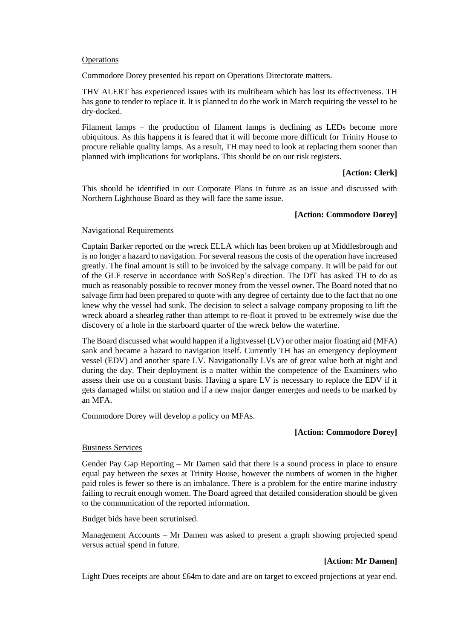#### **Operations**

Commodore Dorey presented his report on Operations Directorate matters.

THV ALERT has experienced issues with its multibeam which has lost its effectiveness. TH has gone to tender to replace it. It is planned to do the work in March requiring the vessel to be dry-docked.

Filament lamps – the production of filament lamps is declining as LEDs become more ubiquitous. As this happens it is feared that it will become more difficult for Trinity House to procure reliable quality lamps. As a result, TH may need to look at replacing them sooner than planned with implications for workplans. This should be on our risk registers.

### **[Action: Clerk]**

This should be identified in our Corporate Plans in future as an issue and discussed with Northern Lighthouse Board as they will face the same issue.

### **[Action: Commodore Dorey]**

#### Navigational Requirements

Captain Barker reported on the wreck ELLA which has been broken up at Middlesbrough and is no longer a hazard to navigation. For several reasons the costs of the operation have increased greatly. The final amount is still to be invoiced by the salvage company. It will be paid for out of the GLF reserve in accordance with SoSRep's direction. The DfT has asked TH to do as much as reasonably possible to recover money from the vessel owner. The Board noted that no salvage firm had been prepared to quote with any degree of certainty due to the fact that no one knew why the vessel had sunk. The decision to select a salvage company proposing to lift the wreck aboard a shearleg rather than attempt to re-float it proved to be extremely wise due the discovery of a hole in the starboard quarter of the wreck below the waterline.

The Board discussed what would happen if a lightvessel (LV) or other major floating aid (MFA) sank and became a hazard to navigation itself. Currently TH has an emergency deployment vessel (EDV) and another spare LV. Navigationally LVs are of great value both at night and during the day. Their deployment is a matter within the competence of the Examiners who assess their use on a constant basis. Having a spare LV is necessary to replace the EDV if it gets damaged whilst on station and if a new major danger emerges and needs to be marked by an MFA.

Commodore Dorey will develop a policy on MFAs.

### **[Action: Commodore Dorey]**

#### Business Services

Gender Pay Gap Reporting – Mr Damen said that there is a sound process in place to ensure equal pay between the sexes at Trinity House, however the numbers of women in the higher paid roles is fewer so there is an imbalance. There is a problem for the entire marine industry failing to recruit enough women. The Board agreed that detailed consideration should be given to the communication of the reported information.

Budget bids have been scrutinised.

Management Accounts – Mr Damen was asked to present a graph showing projected spend versus actual spend in future.

### **[Action: Mr Damen]**

Light Dues receipts are about £64m to date and are on target to exceed projections at year end.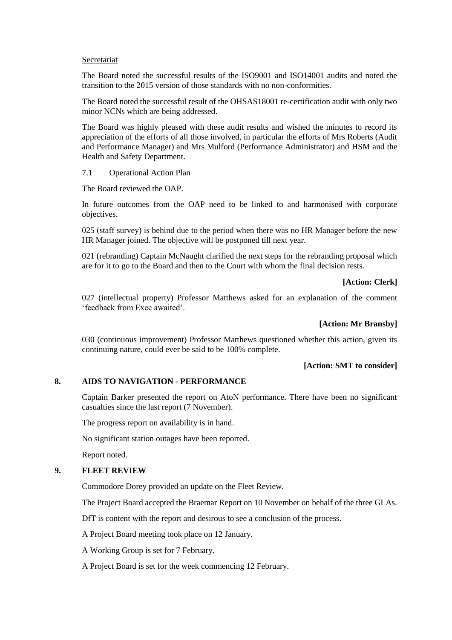#### Secretariat

The Board noted the successful results of the ISO9001 and ISO14001 audits and noted the transition to the 2015 version of those standards with no non-conformities.

The Board noted the successful result of the OHSAS18001 re-certification audit with only two minor NCNs which are being addressed.

The Board was highly pleased with these audit results and wished the minutes to record its appreciation of the efforts of all those involved, in particular the efforts of Mrs Roberts (Audit and Performance Manager) and Mrs Mulford (Performance Administrator) and HSM and the Health and Safety Department.

7.1 Operational Action Plan

The Board reviewed the OAP.

In future outcomes from the OAP need to be linked to and harmonised with corporate objectives.

025 (staff survey) is behind due to the period when there was no HR Manager before the new HR Manager joined. The objective will be postponed till next year.

021 (rebranding) Captain McNaught clarified the next steps for the rebranding proposal which are for it to go to the Board and then to the Court with whom the final decision rests.

#### **[Action: Clerk]**

027 (intellectual property) Professor Matthews asked for an explanation of the comment 'feedback from Exec awaited'.

#### **[Action: Mr Bransby]**

030 (continuous improvement) Professor Matthews questioned whether this action, given its continuing nature, could ever be said to be 100% complete.

### **[Action: SMT to consider]**

## **8. AIDS TO NAVIGATION - PERFORMANCE**

Captain Barker presented the report on AtoN performance. There have been no significant casualties since the last report (7 November).

The progress report on availability is in hand.

No significant station outages have been reported.

Report noted.

### **9. FLEET REVIEW**

Commodore Dorey provided an update on the Fleet Review.

The Project Board accepted the Braemar Report on 10 November on behalf of the three GLAs.

DfT is content with the report and desirous to see a conclusion of the process.

A Project Board meeting took place on 12 January.

A Working Group is set for 7 February.

A Project Board is set for the week commencing 12 February.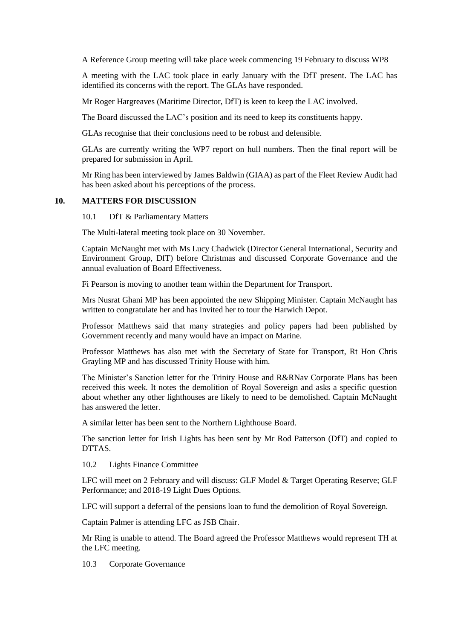A Reference Group meeting will take place week commencing 19 February to discuss WP8

A meeting with the LAC took place in early January with the DfT present. The LAC has identified its concerns with the report. The GLAs have responded.

Mr Roger Hargreaves (Maritime Director, DfT) is keen to keep the LAC involved.

The Board discussed the LAC's position and its need to keep its constituents happy.

GLAs recognise that their conclusions need to be robust and defensible.

GLAs are currently writing the WP7 report on hull numbers. Then the final report will be prepared for submission in April.

Mr Ring has been interviewed by James Baldwin (GIAA) as part of the Fleet Review Audit had has been asked about his perceptions of the process.

#### **10. MATTERS FOR DISCUSSION**

10.1 DfT & Parliamentary Matters

The Multi-lateral meeting took place on 30 November.

Captain McNaught met with Ms Lucy Chadwick (Director General International, Security and Environment Group, DfT) before Christmas and discussed Corporate Governance and the annual evaluation of Board Effectiveness.

Fi Pearson is moving to another team within the Department for Transport.

Mrs Nusrat Ghani MP has been appointed the new Shipping Minister. Captain McNaught has written to congratulate her and has invited her to tour the Harwich Depot.

Professor Matthews said that many strategies and policy papers had been published by Government recently and many would have an impact on Marine.

Professor Matthews has also met with the Secretary of State for Transport, Rt Hon Chris Grayling MP and has discussed Trinity House with him.

The Minister's Sanction letter for the Trinity House and R&RNav Corporate Plans has been received this week. It notes the demolition of Royal Sovereign and asks a specific question about whether any other lighthouses are likely to need to be demolished. Captain McNaught has answered the letter.

A similar letter has been sent to the Northern Lighthouse Board.

The sanction letter for Irish Lights has been sent by Mr Rod Patterson (DfT) and copied to DTTAS.

10.2 Lights Finance Committee

LFC will meet on 2 February and will discuss: GLF Model & Target Operating Reserve; GLF Performance; and 2018-19 Light Dues Options.

LFC will support a deferral of the pensions loan to fund the demolition of Royal Sovereign.

Captain Palmer is attending LFC as JSB Chair.

Mr Ring is unable to attend. The Board agreed the Professor Matthews would represent TH at the LFC meeting.

10.3 Corporate Governance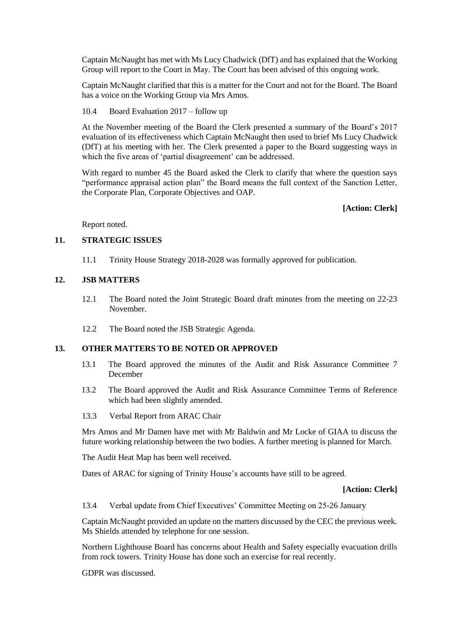Captain McNaught has met with Ms Lucy Chadwick (DfT) and has explained that the Working Group will report to the Court in May. The Court has been advised of this ongoing work.

Captain McNaught clarified that this is a matter for the Court and not for the Board. The Board has a voice on the Working Group via Mrs Amos.

10.4 Board Evaluation 2017 – follow up

At the November meeting of the Board the Clerk presented a summary of the Board's 2017 evaluation of its effectiveness which Captain McNaught then used to brief Ms Lucy Chadwick (DfT) at his meeting with her. The Clerk presented a paper to the Board suggesting ways in which the five areas of 'partial disagreement' can be addressed.

With regard to number 45 the Board asked the Clerk to clarify that where the question says "performance appraisal action plan" the Board means the full context of the Sanction Letter, the Corporate Plan, Corporate Objectives and OAP.

### **[Action: Clerk]**

Report noted.

## **11. STRATEGIC ISSUES**

11.1 Trinity House Strategy 2018-2028 was formally approved for publication.

#### **12. JSB MATTERS**

- 12.1 The Board noted the Joint Strategic Board draft minutes from the meeting on 22-23 November.
- 12.2 The Board noted the JSB Strategic Agenda.

# **13. OTHER MATTERS TO BE NOTED OR APPROVED**

- 13.1 The Board approved the minutes of the Audit and Risk Assurance Committee 7 December
- 13.2 The Board approved the Audit and Risk Assurance Committee Terms of Reference which had been slightly amended.
- 13.3 Verbal Report from ARAC Chair

Mrs Amos and Mr Damen have met with Mr Baldwin and Mr Locke of GIAA to discuss the future working relationship between the two bodies. A further meeting is planned for March.

The Audit Heat Map has been well received.

Dates of ARAC for signing of Trinity House's accounts have still to be agreed.

#### **[Action: Clerk]**

13.4 Verbal update from Chief Executives' Committee Meeting on 25-26 January

Captain McNaught provided an update on the matters discussed by the CEC the previous week. Ms Shields attended by telephone for one session.

Northern Lighthouse Board has concerns about Health and Safety especially evacuation drills from rock towers. Trinity House has done such an exercise for real recently.

GDPR was discussed.